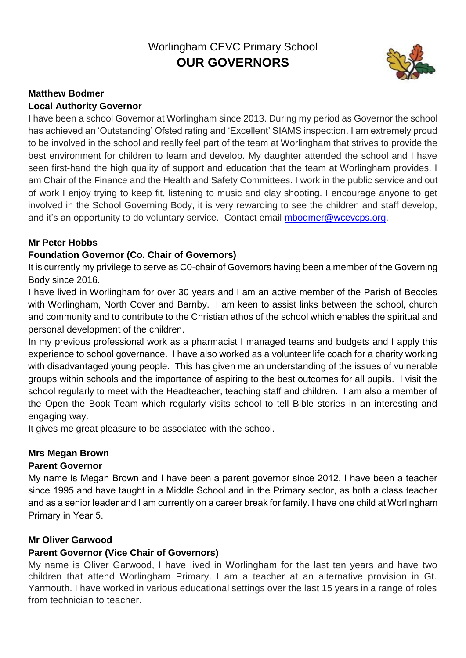# Worlingham CEVC Primary School **OUR GOVERNORS**



#### **Matthew Bodmer Local Authority Governor**

I have been a school Governor at Worlingham since 2013. During my period as Governor the school has achieved an 'Outstanding' Ofsted rating and 'Excellent' SIAMS inspection. I am extremely proud to be involved in the school and really feel part of the team at Worlingham that strives to provide the best environment for children to learn and develop. My daughter attended the school and I have seen first-hand the high quality of support and education that the team at Worlingham provides. I am Chair of the Finance and the Health and Safety Committees. I work in the public service and out of work I enjoy trying to keep fit, listening to music and clay shooting. I encourage anyone to get involved in the School Governing Body, it is very rewarding to see the children and staff develop, and it's an opportunity to do voluntary service. Contact email [mbodmer@wcevcps.org.](mailto:mbodmer@wcevcps.org)

# **Mr Peter Hobbs**

# **Foundation Governor (Co. Chair of Governors)**

It is currently my privilege to serve as C0-chair of Governors having been a member of the Governing Body since 2016.

I have lived in Worlingham for over 30 years and I am an active member of the Parish of Beccles with Worlingham, North Cover and Barnby. I am keen to assist links between the school, church and community and to contribute to the Christian ethos of the school which enables the spiritual and personal development of the children.

In my previous professional work as a pharmacist I managed teams and budgets and I apply this experience to school governance. I have also worked as a volunteer life coach for a charity working with disadvantaged young people. This has given me an understanding of the issues of vulnerable groups within schools and the importance of aspiring to the best outcomes for all pupils. I visit the school regularly to meet with the Headteacher, teaching staff and children. I am also a member of the Open the Book Team which regularly visits school to tell Bible stories in an interesting and engaging way.

It gives me great pleasure to be associated with the school.

# **Mrs Megan Brown**

# **Parent Governor**

My name is Megan Brown and I have been a parent governor since 2012. I have been a teacher since 1995 and have taught in a Middle School and in the Primary sector, as both a class teacher and as a senior leader and I am currently on a career break for family. I have one child at Worlingham Primary in Year 5.

# **Mr Oliver Garwood**

# **Parent Governor (Vice Chair of Governors)**

My name is Oliver Garwood, I have lived in Worlingham for the last ten years and have two children that attend Worlingham Primary. I am a teacher at an alternative provision in Gt. Yarmouth. I have worked in various educational settings over the last 15 years in a range of roles from technician to teacher.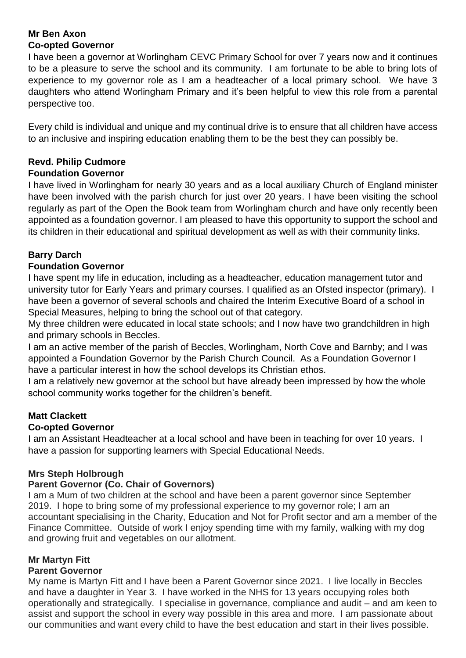#### **Mr Ben Axon Co-opted Governor**

I have been a governor at Worlingham CEVC Primary School for over 7 years now and it continues to be a pleasure to serve the school and its community. I am fortunate to be able to bring lots of experience to my governor role as I am a headteacher of a local primary school. We have 3 daughters who attend Worlingham Primary and it's been helpful to view this role from a parental perspective too.

Every child is individual and unique and my continual drive is to ensure that all children have access to an inclusive and inspiring education enabling them to be the best they can possibly be.

# **Revd. Philip Cudmore**

#### **Foundation Governor**

I have lived in Worlingham for nearly 30 years and as a local auxiliary Church of England minister have been involved with the parish church for just over 20 years. I have been visiting the school regularly as part of the Open the Book team from Worlingham church and have only recently been appointed as a foundation governor. I am pleased to have this opportunity to support the school and its children in their educational and spiritual development as well as with their community links.

# **Barry Darch**

#### **Foundation Governor**

I have spent my life in education, including as a headteacher, education management tutor and university tutor for Early Years and primary courses. I qualified as an Ofsted inspector (primary). I have been a governor of several schools and chaired the Interim Executive Board of a school in Special Measures, helping to bring the school out of that category.

My three children were educated in local state schools; and I now have two grandchildren in high and primary schools in Beccles.

I am an active member of the parish of Beccles, Worlingham, North Cove and Barnby; and I was appointed a Foundation Governor by the Parish Church Council. As a Foundation Governor I have a particular interest in how the school develops its Christian ethos.

I am a relatively new governor at the school but have already been impressed by how the whole school community works together for the children's benefit.

#### **Matt Clackett**

#### **Co-opted Governor**

I am an Assistant Headteacher at a local school and have been in teaching for over 10 years. I have a passion for supporting learners with Special Educational Needs.

#### **Mrs Steph Holbrough**

#### **Parent Governor (Co. Chair of Governors)**

I am a Mum of two children at the school and have been a parent governor since September 2019. I hope to bring some of my professional experience to my governor role; I am an accountant specialising in the Charity, Education and Not for Profit sector and am a member of the Finance Committee. Outside of work I enjoy spending time with my family, walking with my dog and growing fruit and vegetables on our allotment.

# **Mr Martyn Fitt**

# **Parent Governor**

My name is Martyn Fitt and I have been a Parent Governor since 2021. I live locally in Beccles and have a daughter in Year 3. I have worked in the NHS for 13 years occupying roles both operationally and strategically. I specialise in governance, compliance and audit – and am keen to assist and support the school in every way possible in this area and more. I am passionate about our communities and want every child to have the best education and start in their lives possible.